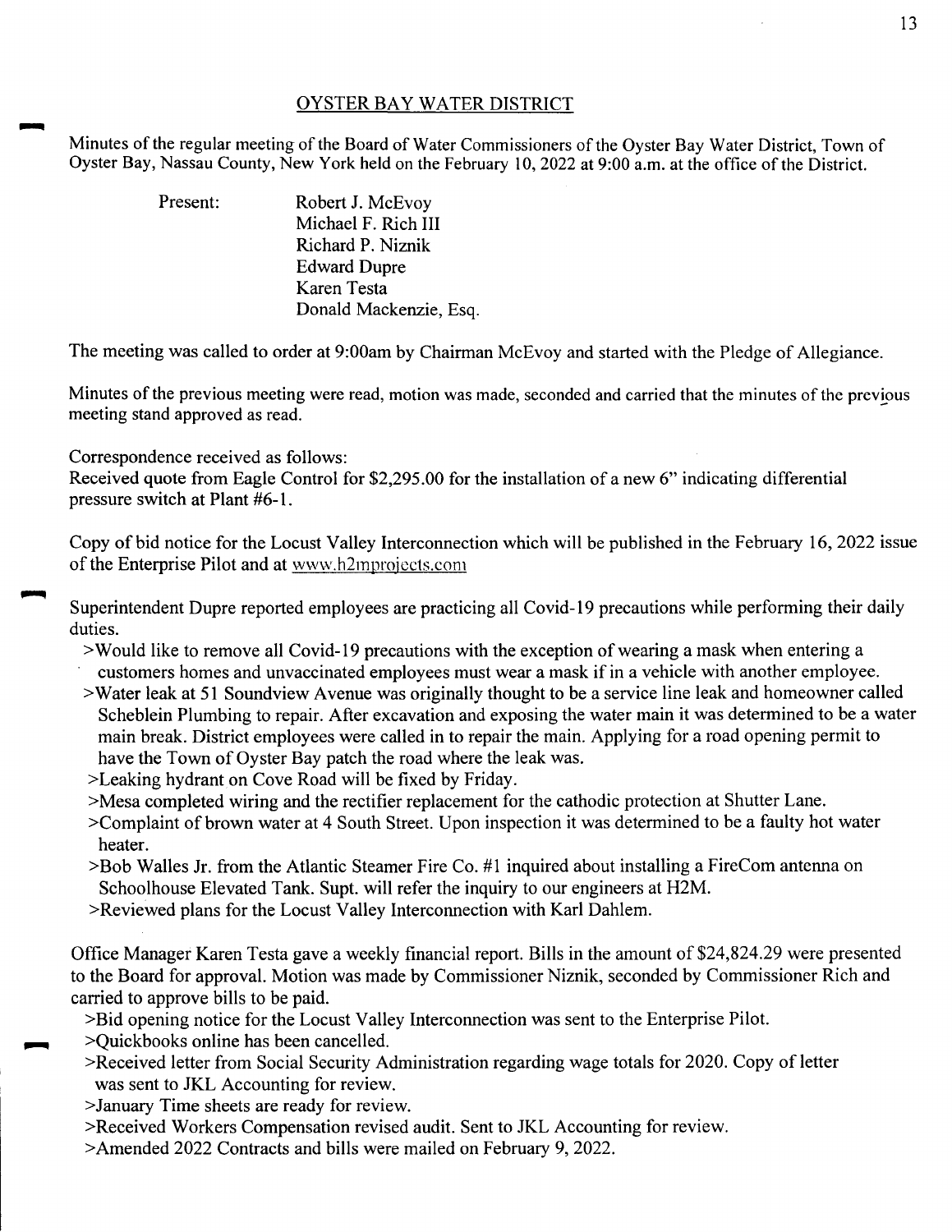## OYSTER BAY WATER DISTRICT

Minutes of the regular meeting of the Board of Water Commissioners of the Oyster Bay Water District, Town of Oyster Bay, Nassau County, New York held on the February 10, 2022 at 9:00 a.m. at the office of the District.

| Present: | Robert J. McEvoy       |
|----------|------------------------|
|          | Michael F. Rich III    |
|          | Richard P. Niznik      |
|          | <b>Edward Dupre</b>    |
|          | Karen Testa            |
|          | Donald Mackenzie, Esq. |

The meeting was called to order at 9:00am by Chairman McEvoy and started with the Pledge of Allegiance.

Minutes of the previous meeting were read, motion was made, seconded and carried that the minutes of the previous meeting stand approved as read.

Correspondence received as follows:

Received quote from Eagle Control for \$2,295.00 for the installation of a new 6" indicating differential pressure switch at Plant #6-1.

Copy of bid notice for the Locust Valley Interconnection which will be published in the February 16, 2022 issue of the Enterprise Pilot and at www.h2mprojccts.com

Superintendent Dupre reported employees are practicing all Covid-19 precautions while performing their daily duties.

- >Would like to remove all Covid-19 precautions with the exception of wearing a mask when entering a customers homes and unvaccinated employees must wear a mask if in a vehicle with another employee.
- >Water leak at 51 Soundview Avenue was originally thought to be a service line leak and homeowner called Scheblein Plumbing to repair. After excavation and exposing the water main it was determined to be a water main break. District employees were called in to repair the main. Applying for a road opening permit to have the Town of Oyster Bay patch the road where the leak was.
- >Leaking hydrant on Cove Road will be fixed by Friday.
- >Mesa completed wiring and the rectifier replacement for the cathodic protection at Shutter Lane.
- >Complaint of brown water at 4 South Street. Upon inspection it was determined to be a faulty hot water heater.
- >Bob Walles Jr. from the Atlantic Steamer Fire Co. #1 inquired about installing a FireCom antenna on Schoolhouse Elevated Tank. Supt. will refer the inquiry to our engineers at H2M.
- >Reviewed plans for the Locust Valley Interconnection with Karl Dahlem.

Office Manager Karen Testa gave a weekly financial report. Bills in the amount of \$24,824.29 were presented to the Board for approval. Motion was made by Commissioner Niznik, seconded by Commissioner Rich and carried to approve bills to be paid.

- >Bid opening notice for the Locust Valley Interconnection was sent to the Enterprise Pilot.
- >Quickbooks online has been cancelled.
- >Received letter from Social Security Administration regarding wage totals for 2020. Copy of letter was sent to JKL Accounting for review.
- >January Time sheets are ready for review.
- >Received Workers Compensation revised audit. Sent to JKL Accounting for review.
- >Amended 2022 Contracts and bills were mailed on February 9, 2022.